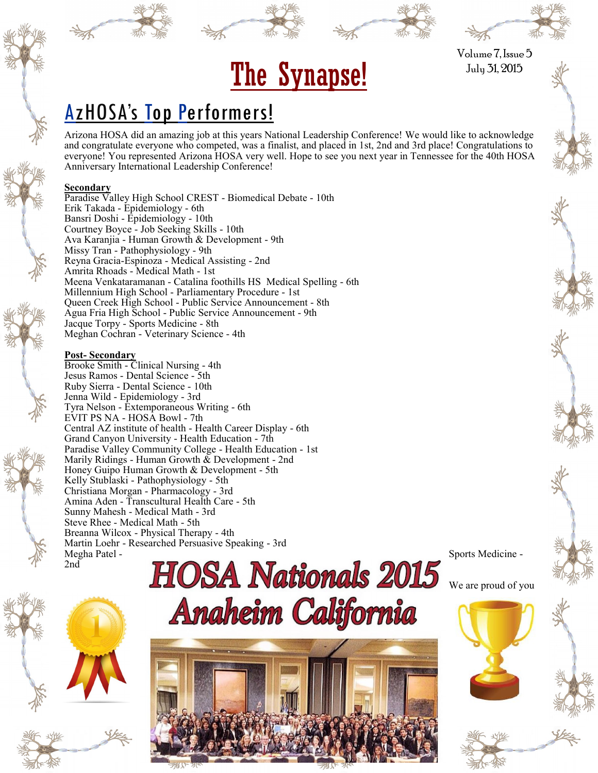



The Synapse! July 31, 2015 Volume 7, Issue 5

# AzHOSA's Top Performers!

Arizona HOSA did an amazing job at this years National Leadership Conference! We would like to acknowledge and congratulate everyone who competed, was a finalist, and placed in 1st, 2nd and 3rd place! Congratulations to everyone! You represented Arizona HOSA very well. Hope to see you next year in Tennessee for the 40th HOSA Anniversary International Leadership Conference!

#### **Secondary**

Paradise Valley High School CREST - Biomedical Debate - 10th Erik Takada - Epidemiology - 6th Bansri Doshi - Epidemiology - 10th Courtney Boyce - Job Seeking Skills - 10th Ava Karanjia - Human Growth & Development - 9th Missy Tran - Pathophysiology - 9th Reyna Gracia-Espinoza - Medical Assisting - 2nd Amrita Rhoads - Medical Math - 1st Meena Venkataramanan - Catalina foothills HS Medical Spelling - 6th Millennium High School - Parliamentary Procedure - 1st Queen Creek High School - Public Service Announcement - 8th Agua Fria High School - Public Service Announcement - 9th Jacque Torpy - Sports Medicine - 8th Meghan Cochran - Veterinary Science - 4th

#### **Post- Secondary**

Brooke Smith - Clinical Nursing - 4th Jesus Ramos - Dental Science - 5th Ruby Sierra - Dental Science - 10th Jenna Wild - Epidemiology - 3rd Tyra Nelson - Extemporaneous Writing - 6th EVIT PS NA - HOSA Bowl - 7th Central AZ institute of health - Health Career Display - 6th Grand Canyon University - Health Education - 7th Paradise Valley Community College - Health Education - 1st Marily Ridings - Human Growth & Development - 2nd Honey Guipo Human Growth & Development - 5th Kelly Stublaski - Pathophysiology - 5th Christiana Morgan - Pharmacology - 3rd Amina Aden - Transcultural Health Care - 5th Sunny Mahesh - Medical Math - 3rd Steve Rhee - Medical Math - 5th Breanna Wilcox - Physical Therapy - 4th Martin Loehr - Researched Persuasive Speaking - 3rd Megha Patel - Sports Medicine - Sports Medicine - Sports Medicine - Sports Medicine -2nd

We are proud of you







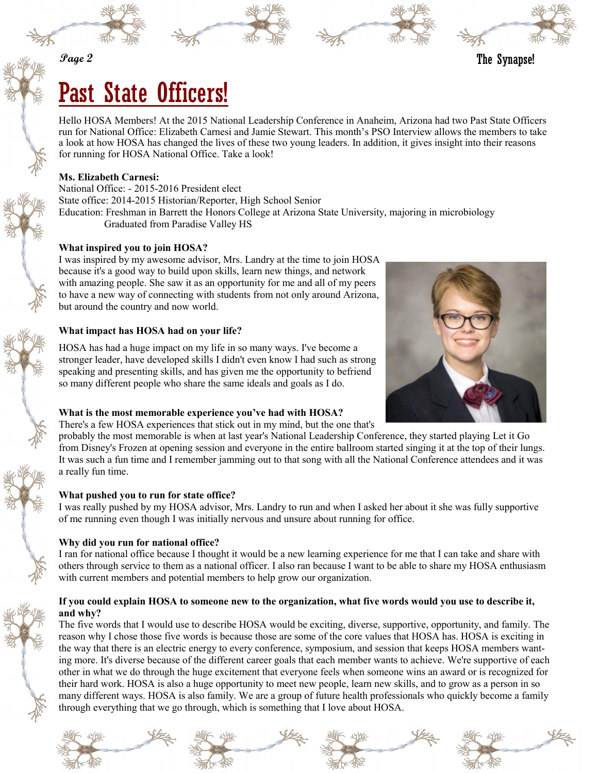**Page 2**





# Past State Officers!

Hello HOSA Members! At the 2015 National Leadership Conference in Anaheim, Arizona had two Past State Officers run for National Office: Elizabeth Carnesi and Jamie Stewart. This month's PSO Interview allows the members to take a look at how HOSA has changed the lives of these two young leaders. In addition, it gives insight into their reasons for running for HOSA National Office. Take a look!

# **Ms. Elizabeth Carnesi:**

National Office: - 2015-2016 President elect State office: 2014-2015 Historian/Reporter, High School Senior Education: Freshman in Barrett the Honors College at Arizona State University, majoring in microbiology Graduated from Paradise Valley HS

# **What inspired you to join HOSA?**

I was inspired by my awesome advisor, Mrs. Landry at the time to join HOSA because it's a good way to build upon skills, learn new things, and network with amazing people. She saw it as an opportunity for me and all of my peers to have a new way of connecting with students from not only around Arizona, but around the country and now world.

# **What impact has HOSA had on your life?**



HOSA has had a huge impact on my life in so many ways. I've become a stronger leader, have developed skills I didn't even know I had such as strong speaking and presenting skills, and has given me the opportunity to befriend so many different people who share the same ideals and goals as I do.

# **What is the most memorable experience you've had with HOSA?**

There's a few HOSA experiences that stick out in my mind, but the one that's

probably the most memorable is when at last year's National Leadership Conference, they started playing Let it Go from Disney's Frozen at opening session and everyone in the entire ballroom started singing it at the top of their lungs. It was such a fun time and I remember jamming out to that song with all the National Conference attendees and it was a really fun time.

# **What pushed you to run for state office?**

I was really pushed by my HOSA advisor, Mrs. Landry to run and when I asked her about it she was fully supportive of me running even though I was initially nervous and unsure about running for office.

# **Why did you run for national office?**

I ran for national office because I thought it would be a new learning experience for me that I can take and share with others through service to them as a national officer. I also ran because I want to be able to share my HOSA enthusiasm with current members and potential members to help grow our organization.

# **If you could explain HOSA to someone new to the organization, what five words would you use to describe it, and why?**

The five words that I would use to describe HOSA would be exciting, diverse, supportive, opportunity, and family. The reason why I chose those five words is because those are some of the core values that HOSA has. HOSA is exciting in the way that there is an electric energy to every conference, symposium, and session that keeps HOSA members wanting more. It's diverse because of the different career goals that each member wants to achieve. We're supportive of each other in what we do through the huge excitement that everyone feels when someone wins an award or is recognized for their hard work. HOSA is also a huge opportunity to meet new people, learn new skills, and to grow as a person in so many different ways. HOSA is also family. We are a group of future health professionals who quickly become a family through everything that we go through, which is something that I love about HOSA.